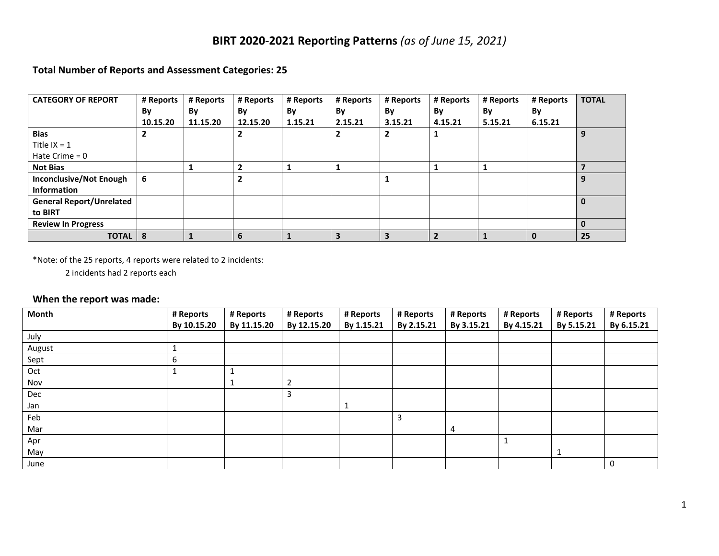# **BIRT 2020-2021 Reporting Patterns** *(as of June 15, 2021)*

### **Total Number of Reports and Assessment Categories: 25**

| <b>CATEGORY OF REPORT</b>       | # Reports      | # Reports | # Reports | # Reports | # Reports | # Reports | # Reports | # Reports | # Reports | <b>TOTAL</b> |
|---------------------------------|----------------|-----------|-----------|-----------|-----------|-----------|-----------|-----------|-----------|--------------|
|                                 | By             | By        | By        | By        | By        | By        | By        | By        | By        |              |
|                                 | 10.15.20       | 11.15.20  | 12.15.20  | 1.15.21   | 2.15.21   | 3.15.21   | 4.15.21   | 5.15.21   | 6.15.21   |              |
| <b>Bias</b>                     | $\overline{2}$ |           | ֳ         |           | 2         |           |           |           |           | 9            |
| Title $IX = 1$                  |                |           |           |           |           |           |           |           |           |              |
| Hate Crime $= 0$                |                |           |           |           |           |           |           |           |           |              |
| <b>Not Bias</b>                 |                |           |           |           |           |           |           |           |           |              |
| <b>Inconclusive/Not Enough</b>  | 6              |           | ∍         |           |           |           |           |           |           | 9            |
| <b>Information</b>              |                |           |           |           |           |           |           |           |           |              |
| <b>General Report/Unrelated</b> |                |           |           |           |           |           |           |           |           | $\bf{0}$     |
| to BIRT                         |                |           |           |           |           |           |           |           |           |              |
| <b>Review In Progress</b>       |                |           |           |           |           |           |           |           |           | $\bf{0}$     |
| <b>TOTAL</b>                    | 8              |           | 6         |           | 3         | 3         |           |           | 0         | 25           |

\*Note: of the 25 reports, 4 reports were related to 2 incidents:

2 incidents had 2 reports each

### **When the report was made:**

| <b>Month</b> | # Reports   | # Reports   | # Reports      | # Reports  | # Reports  | # Reports  | # Reports  | # Reports  | # Reports  |
|--------------|-------------|-------------|----------------|------------|------------|------------|------------|------------|------------|
|              | By 10.15.20 | By 11.15.20 | By 12.15.20    | By 1.15.21 | By 2.15.21 | By 3.15.21 | By 4.15.21 | By 5.15.21 | By 6.15.21 |
| July         |             |             |                |            |            |            |            |            |            |
| August       |             |             |                |            |            |            |            |            |            |
| Sept         | 6           |             |                |            |            |            |            |            |            |
| Oct          |             |             |                |            |            |            |            |            |            |
| Nov          |             | <b>T</b>    | $\overline{2}$ |            |            |            |            |            |            |
| Dec          |             |             | 3              |            |            |            |            |            |            |
| Jan          |             |             |                |            |            |            |            |            |            |
| Feb          |             |             |                |            | 3          |            |            |            |            |
| Mar          |             |             |                |            |            | 4          |            |            |            |
| Apr          |             |             |                |            |            |            |            |            |            |
| May          |             |             |                |            |            |            |            |            |            |
| June         |             |             |                |            |            |            |            |            | 0          |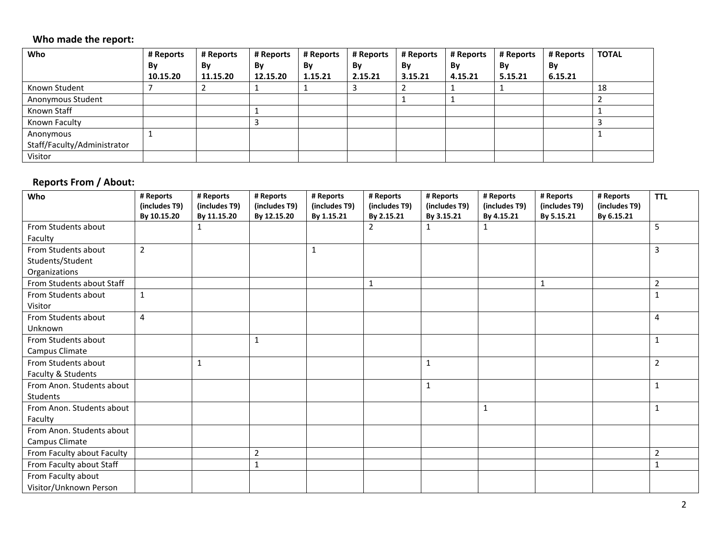### **Who made the report:**

| Who                         | # Reports | # Reports | # Reports | # Reports | # Reports | # Reports | # Reports | # Reports | # Reports | <b>TOTAL</b> |
|-----------------------------|-----------|-----------|-----------|-----------|-----------|-----------|-----------|-----------|-----------|--------------|
|                             | By        | By        | By        | By        | By        | By        | By        | By        | By        |              |
|                             | 10.15.20  | 11.15.20  | 12.15.20  | 1.15.21   | 2.15.21   | 3.15.21   | 4.15.21   | 5.15.21   | 6.15.21   |              |
| Known Student               |           |           |           |           |           |           |           |           |           | 18           |
| Anonymous Student           |           |           |           |           |           |           |           |           |           |              |
| Known Staff                 |           |           |           |           |           |           |           |           |           |              |
| Known Faculty               |           |           |           |           |           |           |           |           |           |              |
| Anonymous                   |           |           |           |           |           |           |           |           |           |              |
| Staff/Faculty/Administrator |           |           |           |           |           |           |           |           |           |              |
| Visitor                     |           |           |           |           |           |           |           |           |           |              |

### **Reports From / About:**

| Who                        | # Reports<br>(includes T9) | # Reports<br>(includes T9) | # Reports<br>(includes T9) | # Reports<br>(includes T9) | # Reports<br>(includes T9) | # Reports<br>(includes T9) | # Reports<br>(includes T9) | # Reports<br>(includes T9) | # Reports<br>(includes T9) | <b>TTL</b>     |
|----------------------------|----------------------------|----------------------------|----------------------------|----------------------------|----------------------------|----------------------------|----------------------------|----------------------------|----------------------------|----------------|
|                            | By 10.15.20                | By 11.15.20                | By 12.15.20                | By 1.15.21                 | By 2.15.21                 | By 3.15.21                 | By 4.15.21                 | By 5.15.21                 | By 6.15.21                 |                |
| From Students about        |                            | 1                          |                            |                            | 2                          | $\mathbf{1}$               | 1                          |                            |                            | 5              |
| Faculty                    |                            |                            |                            |                            |                            |                            |                            |                            |                            |                |
| From Students about        | $\overline{2}$             |                            |                            | $\mathbf{1}$               |                            |                            |                            |                            |                            | 3              |
| Students/Student           |                            |                            |                            |                            |                            |                            |                            |                            |                            |                |
| Organizations              |                            |                            |                            |                            |                            |                            |                            |                            |                            |                |
| From Students about Staff  |                            |                            |                            |                            | $\mathbf{1}$               |                            |                            | $\mathbf{1}$               |                            | $\overline{2}$ |
| From Students about        | $\mathbf{1}$               |                            |                            |                            |                            |                            |                            |                            |                            | 1              |
| Visitor                    |                            |                            |                            |                            |                            |                            |                            |                            |                            |                |
| From Students about        | 4                          |                            |                            |                            |                            |                            |                            |                            |                            | 4              |
| Unknown                    |                            |                            |                            |                            |                            |                            |                            |                            |                            |                |
| From Students about        |                            |                            | 1                          |                            |                            |                            |                            |                            |                            | 1              |
| Campus Climate             |                            |                            |                            |                            |                            |                            |                            |                            |                            |                |
| From Students about        |                            | $\mathbf{1}$               |                            |                            |                            | $\mathbf{1}$               |                            |                            |                            | $\overline{2}$ |
| Faculty & Students         |                            |                            |                            |                            |                            |                            |                            |                            |                            |                |
| From Anon. Students about  |                            |                            |                            |                            |                            | $\mathbf{1}$               |                            |                            |                            | $\mathbf{1}$   |
| Students                   |                            |                            |                            |                            |                            |                            |                            |                            |                            |                |
| From Anon. Students about  |                            |                            |                            |                            |                            |                            | 1                          |                            |                            | 1              |
| Faculty                    |                            |                            |                            |                            |                            |                            |                            |                            |                            |                |
| From Anon. Students about  |                            |                            |                            |                            |                            |                            |                            |                            |                            |                |
| Campus Climate             |                            |                            |                            |                            |                            |                            |                            |                            |                            |                |
| From Faculty about Faculty |                            |                            | $\overline{2}$             |                            |                            |                            |                            |                            |                            | 2              |
| From Faculty about Staff   |                            |                            | $\mathbf{1}$               |                            |                            |                            |                            |                            |                            | 1              |
| From Faculty about         |                            |                            |                            |                            |                            |                            |                            |                            |                            |                |
| Visitor/Unknown Person     |                            |                            |                            |                            |                            |                            |                            |                            |                            |                |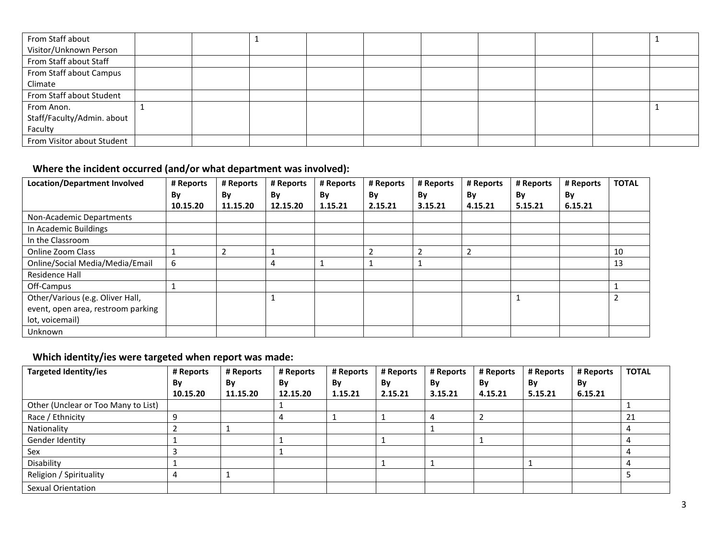| From Staff about           |  |  |  |  |  |
|----------------------------|--|--|--|--|--|
| Visitor/Unknown Person     |  |  |  |  |  |
| From Staff about Staff     |  |  |  |  |  |
| From Staff about Campus    |  |  |  |  |  |
| Climate                    |  |  |  |  |  |
| From Staff about Student   |  |  |  |  |  |
| From Anon.                 |  |  |  |  |  |
| Staff/Faculty/Admin. about |  |  |  |  |  |
| Faculty                    |  |  |  |  |  |
| From Visitor about Student |  |  |  |  |  |

# **Where the incident occurred (and/or what department was involved):**

| <b>Location/Department Involved</b> | # Reports | # Reports | # Reports | # Reports | # Reports | # Reports      | # Reports | # Reports | # Reports | <b>TOTAL</b> |
|-------------------------------------|-----------|-----------|-----------|-----------|-----------|----------------|-----------|-----------|-----------|--------------|
|                                     | By        | By        | By        | By        | By        | By             | By        | By        | By        |              |
|                                     | 10.15.20  | 11.15.20  | 12.15.20  | 1.15.21   | 2.15.21   | 3.15.21        | 4.15.21   | 5.15.21   | 6.15.21   |              |
| Non-Academic Departments            |           |           |           |           |           |                |           |           |           |              |
| In Academic Buildings               |           |           |           |           |           |                |           |           |           |              |
| In the Classroom                    |           |           |           |           |           |                |           |           |           |              |
| Online Zoom Class                   |           | 2         |           |           |           | $\overline{2}$ | 2         |           |           | 10           |
| Online/Social Media/Media/Email     | 6         |           | 4         |           |           |                |           |           |           | 13           |
| Residence Hall                      |           |           |           |           |           |                |           |           |           |              |
| Off-Campus                          |           |           |           |           |           |                |           |           |           |              |
| Other/Various (e.g. Oliver Hall,    |           |           |           |           |           |                |           |           |           | 2            |
| event, open area, restroom parking  |           |           |           |           |           |                |           |           |           |              |
| lot, voicemail)                     |           |           |           |           |           |                |           |           |           |              |
| <b>Unknown</b>                      |           |           |           |           |           |                |           |           |           |              |

# **Which identity/ies were targeted when report was made:**

| <b>Targeted Identity/ies</b>        | # Reports | # Reports | # Reports | # Reports | # Reports | # Reports      | # Reports | # Reports | # Reports | <b>TOTAL</b> |
|-------------------------------------|-----------|-----------|-----------|-----------|-----------|----------------|-----------|-----------|-----------|--------------|
|                                     | By        | By        | By        | By        | By        | By             | By        | By        | By        |              |
|                                     | 10.15.20  | 11.15.20  | 12.15.20  | 1.15.21   | 2.15.21   | 3.15.21        | 4.15.21   | 5.15.21   | 6.15.21   |              |
| Other (Unclear or Too Many to List) |           |           |           |           |           |                |           |           |           |              |
| Race / Ethnicity                    |           |           |           |           |           | $\overline{a}$ |           |           |           | 21           |
| Nationality                         |           |           |           |           |           |                |           |           |           |              |
| Gender Identity                     |           |           |           |           |           |                |           |           |           |              |
| Sex                                 |           |           |           |           |           |                |           |           |           |              |
| Disability                          |           |           |           |           |           |                |           |           |           |              |
| Religion / Spirituality             |           |           |           |           |           |                |           |           |           |              |
| Sexual Orientation                  |           |           |           |           |           |                |           |           |           |              |